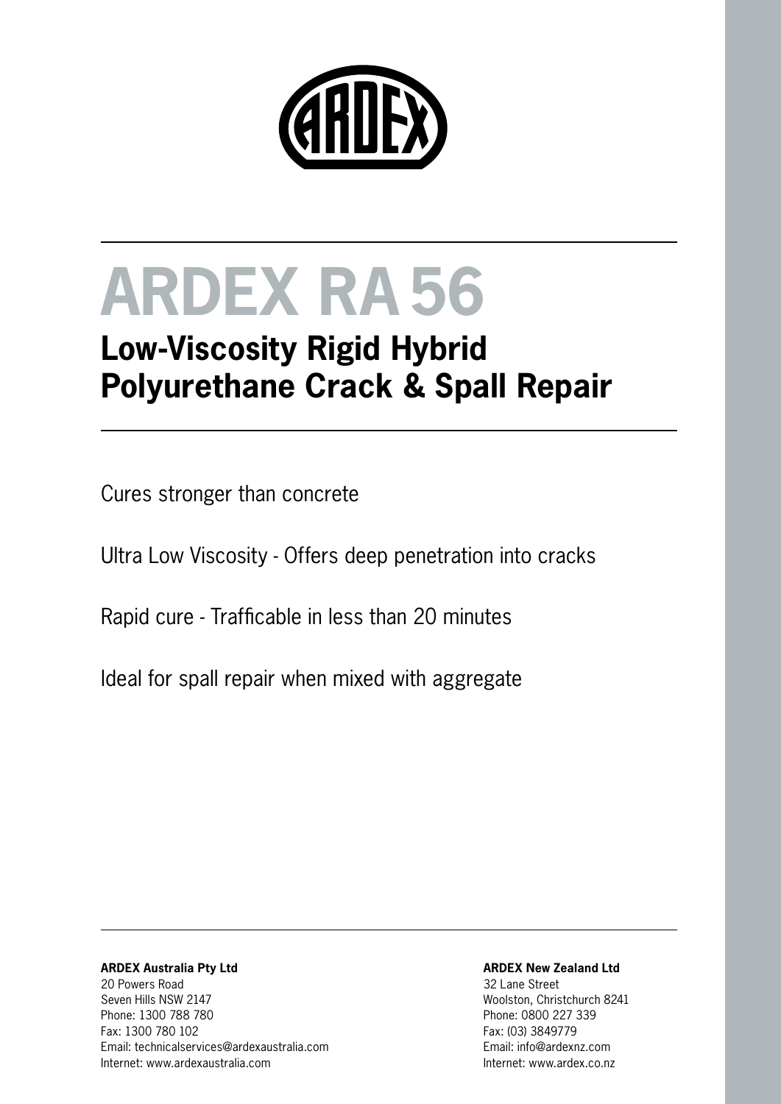

# **ARDEX RA56**

## **Low-Viscosity Rigid Hybrid Polyurethane Crack & Spall Repair**

Cures stronger than concrete

Ultra Low Viscosity - Offers deep penetration into cracks

Rapid cure - Trafficable in less than 20 minutes

Ideal for spall repair when mixed with aggregate

#### **ARDEX Australia Pty Ltd** 20 Powers Road Seven Hills NSW 2147 Phone: 1300 788 780 Fax: 1300 780 102 Email: technicalservices@ardexaustralia.com Internet: www.ardexaustralia.com

#### **ARDEX New Zealand Ltd**

32 Lane Street Woolston, Christchurch 8241 Phone: 0800 227 339 Fax: (03) 3849779 Email: info@ardexnz.com Internet: www.ardex.co.nz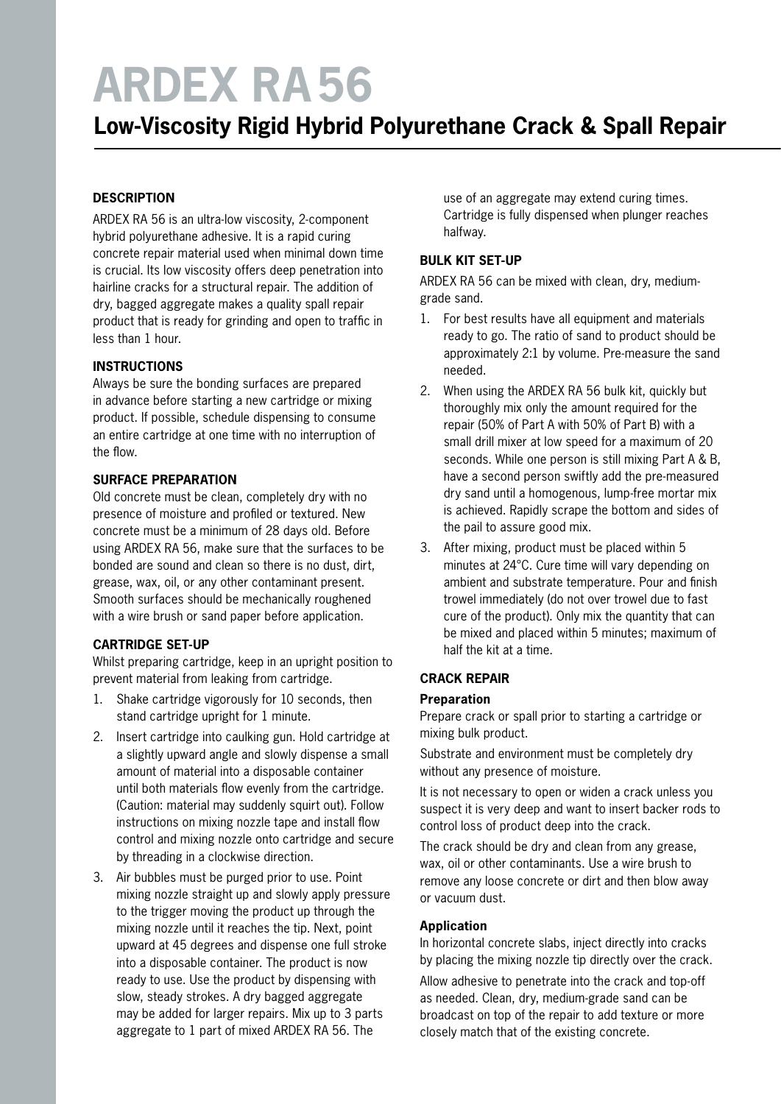# **ARDEX RA56**

### **Low-Viscosity Rigid Hybrid Polyurethane Crack & Spall Repair**

#### **DESCRIPTION**

ARDEX RA 56 is an ultra-low viscosity, 2-component hybrid polyurethane adhesive. It is a rapid curing concrete repair material used when minimal down time is crucial. Its low viscosity offers deep penetration into hairline cracks for a structural repair. The addition of dry, bagged aggregate makes a quality spall repair product that is ready for grinding and open to traffic in less than 1 hour.

#### **INSTRUCTIONS**

Always be sure the bonding surfaces are prepared in advance before starting a new cartridge or mixing product. If possible, schedule dispensing to consume an entire cartridge at one time with no interruption of the flow.

#### **SURFACE PREPARATION**

Old concrete must be clean, completely dry with no presence of moisture and profiled or textured. New concrete must be a minimum of 28 days old. Before using ARDEX RA 56, make sure that the surfaces to be bonded are sound and clean so there is no dust, dirt, grease, wax, oil, or any other contaminant present. Smooth surfaces should be mechanically roughened with a wire brush or sand paper before application.

#### **CARTRIDGE SET-UP**

Whilst preparing cartridge, keep in an upright position to prevent material from leaking from cartridge.

- 1. Shake cartridge vigorously for 10 seconds, then stand cartridge upright for 1 minute.
- 2. Insert cartridge into caulking gun. Hold cartridge at a slightly upward angle and slowly dispense a small amount of material into a disposable container until both materials flow evenly from the cartridge. (Caution: material may suddenly squirt out). Follow instructions on mixing nozzle tape and install flow control and mixing nozzle onto cartridge and secure by threading in a clockwise direction.
- 3. Air bubbles must be purged prior to use. Point mixing nozzle straight up and slowly apply pressure to the trigger moving the product up through the mixing nozzle until it reaches the tip. Next, point upward at 45 degrees and dispense one full stroke into a disposable container. The product is now ready to use. Use the product by dispensing with slow, steady strokes. A dry bagged aggregate may be added for larger repairs. Mix up to 3 parts aggregate to 1 part of mixed ARDEX RA 56. The

use of an aggregate may extend curing times. Cartridge is fully dispensed when plunger reaches halfway.

#### **BULK KIT SET-UP**

ARDEX RA 56 can be mixed with clean, dry, mediumgrade sand.

- 1. For best results have all equipment and materials ready to go. The ratio of sand to product should be approximately 2:1 by volume. Pre-measure the sand needed.
- 2. When using the ARDEX RA 56 bulk kit, quickly but thoroughly mix only the amount required for the repair (50% of Part A with 50% of Part B) with a small drill mixer at low speed for a maximum of 20 seconds. While one person is still mixing Part A & B, have a second person swiftly add the pre-measured dry sand until a homogenous, lump-free mortar mix is achieved. Rapidly scrape the bottom and sides of the pail to assure good mix.
- 3. After mixing, product must be placed within 5 minutes at 24°C. Cure time will vary depending on ambient and substrate temperature. Pour and finish trowel immediately (do not over trowel due to fast cure of the product). Only mix the quantity that can be mixed and placed within 5 minutes; maximum of half the kit at a time.

#### **CRACK REPAIR**

#### **Preparation**

Prepare crack or spall prior to starting a cartridge or mixing bulk product.

Substrate and environment must be completely dry without any presence of moisture.

It is not necessary to open or widen a crack unless you suspect it is very deep and want to insert backer rods to control loss of product deep into the crack.

The crack should be dry and clean from any grease, wax, oil or other contaminants. Use a wire brush to remove any loose concrete or dirt and then blow away or vacuum dust.

#### **Application**

In horizontal concrete slabs, inject directly into cracks by placing the mixing nozzle tip directly over the crack.

Allow adhesive to penetrate into the crack and top-off as needed. Clean, dry, medium-grade sand can be broadcast on top of the repair to add texture or more closely match that of the existing concrete.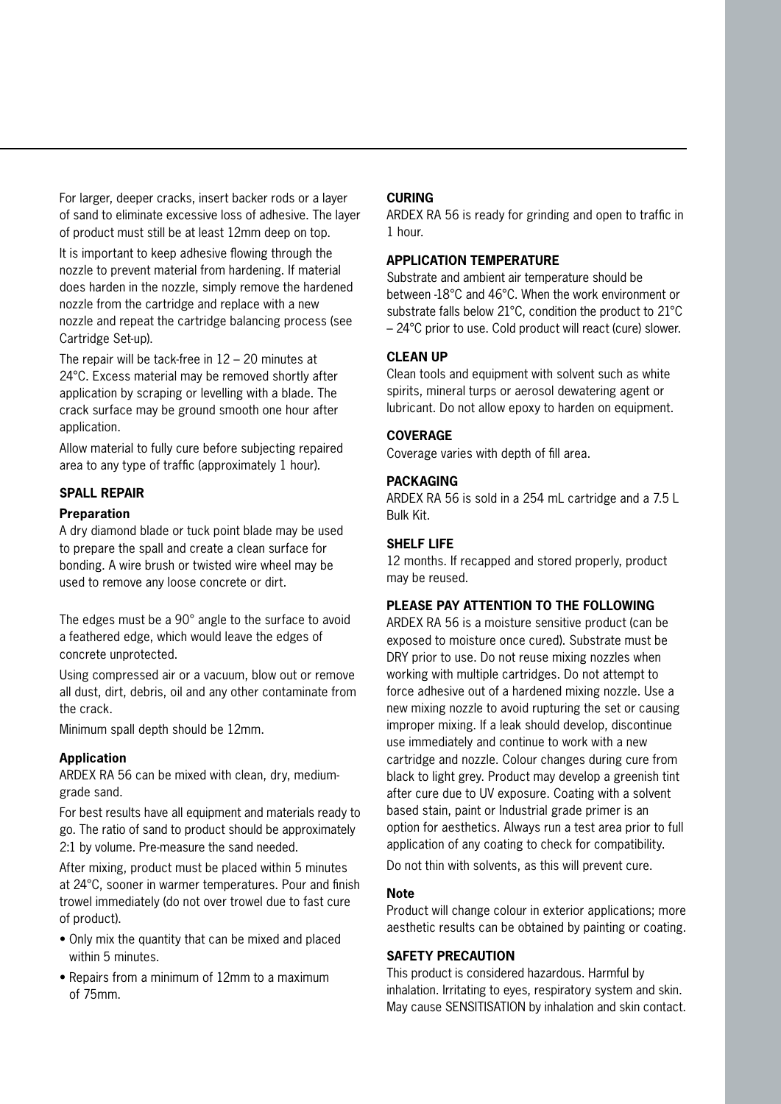For larger, deeper cracks, insert backer rods or a layer of sand to eliminate excessive loss of adhesive. The layer of product must still be at least 12mm deep on top.

It is important to keep adhesive flowing through the nozzle to prevent material from hardening. If material does harden in the nozzle, simply remove the hardened nozzle from the cartridge and replace with a new nozzle and repeat the cartridge balancing process (see Cartridge Set-up).

The repair will be tack-free in 12 – 20 minutes at 24°C. Excess material may be removed shortly after application by scraping or levelling with a blade. The crack surface may be ground smooth one hour after application.

Allow material to fully cure before subjecting repaired area to any type of traffic (approximately 1 hour).

#### **SPALL REPAIR**

#### **Preparation**

A dry diamond blade or tuck point blade may be used to prepare the spall and create a clean surface for bonding. A wire brush or twisted wire wheel may be used to remove any loose concrete or dirt.

The edges must be a 90° angle to the surface to avoid a feathered edge, which would leave the edges of concrete unprotected.

Using compressed air or a vacuum, blow out or remove all dust, dirt, debris, oil and any other contaminate from the crack.

Minimum spall depth should be 12mm.

#### **Application**

ARDEX RA 56 can be mixed with clean, dry, mediumgrade sand.

For best results have all equipment and materials ready to go. The ratio of sand to product should be approximately 2:1 by volume. Pre-measure the sand needed.

After mixing, product must be placed within 5 minutes at 24°C, sooner in warmer temperatures. Pour and finish trowel immediately (do not over trowel due to fast cure of product).

- Only mix the quantity that can be mixed and placed within 5 minutes.
- Repairs from a minimum of 12mm to a maximum of 75mm.

#### **CURING**

ARDEX RA 56 is ready for grinding and open to traffic in 1 hour.

#### **APPLICATION TEMPERATURE**

Substrate and ambient air temperature should be between -18°C and 46°C. When the work environment or substrate falls below 21°C, condition the product to 21°C – 24°C prior to use. Cold product will react (cure) slower.

#### **CLEAN UP**

Clean tools and equipment with solvent such as white spirits, mineral turps or aerosol dewatering agent or lubricant. Do not allow epoxy to harden on equipment.

#### **COVERAGE**

Coverage varies with depth of fill area.

#### **PACKAGING**

ARDEX RA 56 is sold in a 254 mL cartridge and a 7.5 L Bulk Kit.

#### **SHELF LIFE**

12 months. If recapped and stored properly, product may be reused.

#### **PLEASE PAY ATTENTION TO THE FOLLOWING**

ARDEX RA 56 is a moisture sensitive product (can be exposed to moisture once cured). Substrate must be DRY prior to use. Do not reuse mixing nozzles when working with multiple cartridges. Do not attempt to force adhesive out of a hardened mixing nozzle. Use a new mixing nozzle to avoid rupturing the set or causing improper mixing. If a leak should develop, discontinue use immediately and continue to work with a new cartridge and nozzle. Colour changes during cure from black to light grey. Product may develop a greenish tint after cure due to UV exposure. Coating with a solvent based stain, paint or Industrial grade primer is an option for aesthetics. Always run a test area prior to full application of any coating to check for compatibility. Do not thin with solvents, as this will prevent cure.

#### **Note**

Product will change colour in exterior applications; more aesthetic results can be obtained by painting or coating.

#### **SAFETY PRECAUTION**

This product is considered hazardous. Harmful by inhalation. Irritating to eyes, respiratory system and skin. May cause SENSITISATION by inhalation and skin contact.